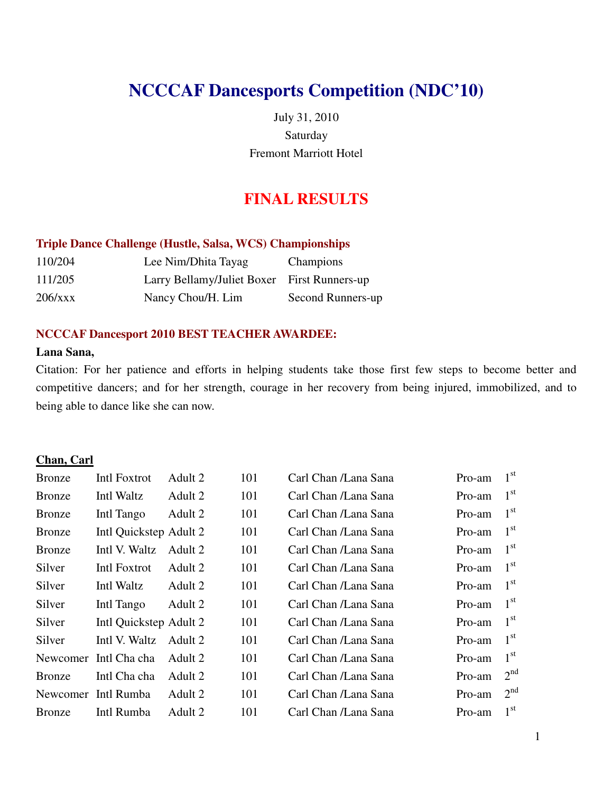# **NCCCAF Dancesports Competition (NDC'10)**

July 31, 2010 Saturday Fremont Marriott Hotel

## **FINAL RESULTS**

#### **Triple Dance Challenge (Hustle, Salsa, WCS) Championships**

| 110/204 | Lee Nim/Dhita Tayag                         | Champions         |
|---------|---------------------------------------------|-------------------|
| 111/205 | Larry Bellamy/Juliet Boxer First Runners-up |                   |
| 206/xxx | Nancy Chou/H. Lim                           | Second Runners-up |

#### **NCCCAF Dancesport 2010 BEST TEACHER AWARDEE:**

#### **Lana Sana,**

Citation: For her patience and efforts in helping students take those first few steps to become better and competitive dancers; and for her strength, courage in her recovery from being injured, immobilized, and to being able to dance like she can now.

#### **Chan, Carl**

| <b>Bronze</b> | Intl Foxtrot           | Adult 2 | 101 | Carl Chan /Lana Sana | Pro-am | $1^{\rm st}$    |
|---------------|------------------------|---------|-----|----------------------|--------|-----------------|
| <b>Bronze</b> | Intl Waltz             | Adult 2 | 101 | Carl Chan /Lana Sana | Pro-am | $1^{\rm st}$    |
| <b>Bronze</b> | Intl Tango             | Adult 2 | 101 | Carl Chan /Lana Sana | Pro-am | $1^{\rm st}$    |
| <b>Bronze</b> | Intl Quickstep Adult 2 |         | 101 | Carl Chan /Lana Sana | Pro-am | $1^{\rm st}$    |
| <b>Bronze</b> | Intl V. Waltz          | Adult 2 | 101 | Carl Chan /Lana Sana | Pro-am | 1 <sup>st</sup> |
| Silver        | Intl Foxtrot           | Adult 2 | 101 | Carl Chan /Lana Sana | Pro-am | $1^{\rm st}$    |
| Silver        | Intl Waltz             | Adult 2 | 101 | Carl Chan /Lana Sana | Pro-am | 1 <sup>st</sup> |
| Silver        | Intl Tango             | Adult 2 | 101 | Carl Chan /Lana Sana | Pro-am | 1 <sup>st</sup> |
| Silver        | Intl Quickstep Adult 2 |         | 101 | Carl Chan /Lana Sana | Pro-am | $1^{\rm st}$    |
| Silver        | Intl V. Waltz          | Adult 2 | 101 | Carl Chan /Lana Sana | Pro-am | $1^{\rm st}$    |
|               | Newcomer Intl Cha cha  | Adult 2 | 101 | Carl Chan /Lana Sana | Pro-am | $1^{\rm st}$    |
| <b>Bronze</b> | Intl Cha cha           | Adult 2 | 101 | Carl Chan /Lana Sana | Pro-am | 2 <sup>nd</sup> |
|               | Newcomer Intl Rumba    | Adult 2 | 101 | Carl Chan /Lana Sana | Pro-am | 2 <sup>nd</sup> |
| <b>Bronze</b> | Intl Rumba             | Adult 2 | 101 | Carl Chan /Lana Sana | Pro-am | $1^{\rm st}$    |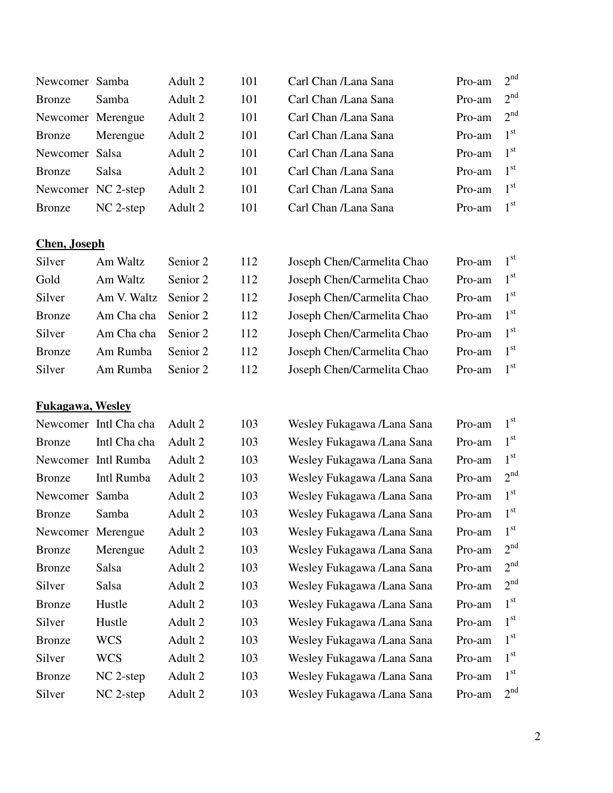| Newcomer Samba     |             | Adult 2 | 101 | Carl Chan /Lana Sana | Pro-am | 2 <sup>nd</sup> |
|--------------------|-------------|---------|-----|----------------------|--------|-----------------|
| Bronze             | Samba       | Adult 2 | 101 | Carl Chan /Lana Sana | Pro-am | 2 <sup>nd</sup> |
| Newcomer Merengue  |             | Adult 2 | 101 | Carl Chan /Lana Sana | Pro-am | 2 <sup>nd</sup> |
| Bronze             | Merengue    | Adult 2 | 101 | Carl Chan /Lana Sana | Pro-am | 1 <sup>st</sup> |
| Newcomer Salsa     |             | Adult 2 | 101 | Carl Chan /Lana Sana | Pro-am | 1 <sup>st</sup> |
| Bronze             | Salsa       | Adult 2 | 101 | Carl Chan /Lana Sana | Pro-am | 1 <sup>st</sup> |
| Newcomer NC 2-step |             | Adult 2 | 101 | Carl Chan /Lana Sana | Pro-am | 1 <sup>st</sup> |
| Bronze             | $NC$ 2-step | Adult 2 | 101 | Carl Chan /Lana Sana | Pro-am | 1 <sup>st</sup> |

## **Chen, Joseph**

| Silver        | Am Waltz             | Senior 2 | 1 |
|---------------|----------------------|----------|---|
| Gold          | Am Waltz             | Senior 2 | 1 |
| Silver        | Am V. Waltz Senior 2 |          | 1 |
| <b>Bronze</b> | Am Cha cha Senior 2  |          | 1 |
| Silver        | Am Cha cha Senior 2  |          | 1 |
| <b>Bronze</b> | Am Rumba             | Senior 2 | 1 |
| Silver        | Am Rumba Senior 2    |          |   |

## **Fukagawa, Wesley**

| Carl Chan /Lana Sana | Pro-am $21$ |              |
|----------------------|-------------|--------------|
| Carl Chan /Lana Sana | Pro-am      | $2^{\prime}$ |
| Carl Chan /Lana Sana | Pro-am      |              |
| Carl Chan /Lana Sana | Pro-am      | $1^{\circ}$  |
| Carl Chan /Lana Sana | Pro-am      |              |
| Carl Chan /Lana Sana | Pro-am      |              |
| Carl Chan /Lana Sana | $Pro-am$    |              |
|                      |             |              |

| Silver        | Am Waltz             | Senior 2 | 112 | Joseph Chen/Carmelita Chao | Pro-am | 1 <sup>st</sup> |
|---------------|----------------------|----------|-----|----------------------------|--------|-----------------|
| Gold          | Am Waltz             | Senior 2 | 112 | Joseph Chen/Carmelita Chao | Pro-am | $1^{\rm st}$    |
| Silver        | Am V. Waltz Senior 2 |          | 112 | Joseph Chen/Carmelita Chao | Pro-am | 1 <sup>st</sup> |
| <b>Bronze</b> | Am Cha cha Senior 2  |          | 112 | Joseph Chen/Carmelita Chao | Pro-am | 1 <sup>st</sup> |
| Silver        | Am Cha cha Senior 2  |          | 112 | Joseph Chen/Carmelita Chao | Pro-am | 1 <sup>st</sup> |
| Bronze        | Am Rumba             | Senior 2 | 112 | Joseph Chen/Carmelita Chao | Pro-am | 1 <sup>st</sup> |
| Silver        | Am Rumba             | Senior 2 | 112 | Joseph Chen/Carmelita Chao | Pro-am | 1 <sup>st</sup> |

|          | Newcomer Intl Cha cha | Adult 2 | 103 | Wesley Fukagawa /Lana Sana | Pro-am | 1 <sup>st</sup> |
|----------|-----------------------|---------|-----|----------------------------|--------|-----------------|
| Bronze   | Intl Cha cha          | Adult 2 | 103 | Wesley Fukagawa /Lana Sana | Pro-am | 1 <sup>st</sup> |
| Newcomer | Intl Rumba            | Adult 2 | 103 | Wesley Fukagawa /Lana Sana | Pro-am | 1 <sup>st</sup> |
| Bronze   | Intl Rumba            | Adult 2 | 103 | Wesley Fukagawa /Lana Sana | Pro-am | 2 <sup>nd</sup> |
| Newcomer | Samba                 | Adult 2 | 103 | Wesley Fukagawa /Lana Sana | Pro-am | 1 <sup>st</sup> |
| Bronze   | Samba                 | Adult 2 | 103 | Wesley Fukagawa /Lana Sana | Pro-am | 1 <sup>st</sup> |
| Newcomer | Merengue              | Adult 2 | 103 | Wesley Fukagawa /Lana Sana | Pro-am | 1 <sup>st</sup> |
| Bronze   | Merengue              | Adult 2 | 103 | Wesley Fukagawa /Lana Sana | Pro-am | 2 <sup>nd</sup> |
| Bronze   | Salsa                 | Adult 2 | 103 | Wesley Fukagawa /Lana Sana | Pro-am | 2 <sup>nd</sup> |
| Silver   | Salsa                 | Adult 2 | 103 | Wesley Fukagawa /Lana Sana | Pro-am | 2 <sup>nd</sup> |
| Bronze   | Hustle                | Adult 2 | 103 | Wesley Fukagawa /Lana Sana | Pro-am | 1 <sup>st</sup> |
| Silver   | Hustle                | Adult 2 | 103 | Wesley Fukagawa /Lana Sana | Pro-am | 1 <sup>st</sup> |
| Bronze   | <b>WCS</b>            | Adult 2 | 103 | Wesley Fukagawa /Lana Sana | Pro-am | 1 <sup>st</sup> |
| Silver   | <b>WCS</b>            | Adult 2 | 103 | Wesley Fukagawa /Lana Sana | Pro-am | 1 <sup>st</sup> |
| Bronze   | $NC$ 2-step           | Adult 2 | 103 | Wesley Fukagawa /Lana Sana | Pro-am | 1 <sup>st</sup> |
| Silver   | $NC$ 2-step           | Adult 2 | 103 | Wesley Fukagawa /Lana Sana | Pro-am | 2 <sup>nd</sup> |
|          |                       |         |     |                            |        |                 |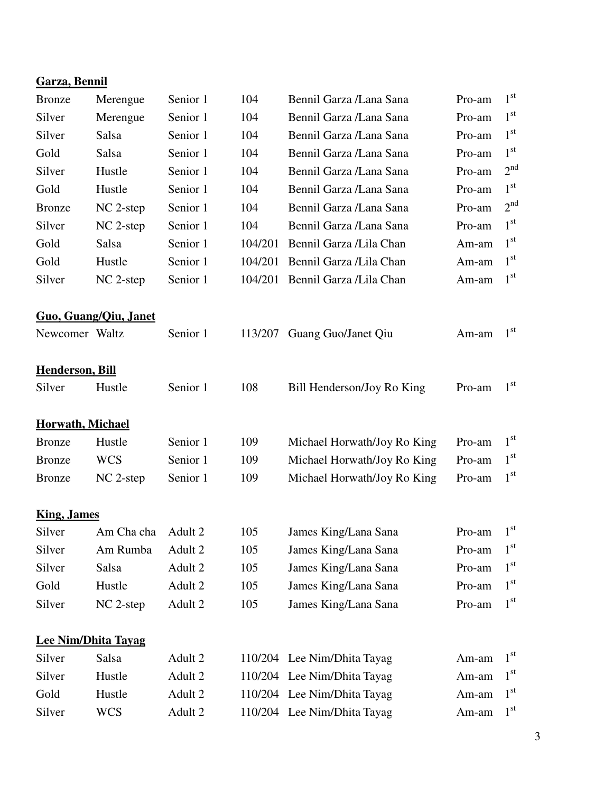| <b>Garza</b> , Bennil   |                              |          |         |                             |        |                 |
|-------------------------|------------------------------|----------|---------|-----------------------------|--------|-----------------|
| <b>Bronze</b>           | Merengue                     | Senior 1 | 104     | Bennil Garza /Lana Sana     | Pro-am | 1 <sup>st</sup> |
| Silver                  | Merengue                     | Senior 1 | 104     | Bennil Garza /Lana Sana     | Pro-am | 1 <sup>st</sup> |
| Silver                  | Salsa                        | Senior 1 | 104     | Bennil Garza /Lana Sana     | Pro-am | 1 <sup>st</sup> |
| Gold                    | Salsa                        | Senior 1 | 104     | Bennil Garza /Lana Sana     | Pro-am | 1 <sup>st</sup> |
| Silver                  | Hustle                       | Senior 1 | 104     | Bennil Garza /Lana Sana     | Pro-am | 2 <sup>nd</sup> |
| Gold                    | Hustle                       | Senior 1 | 104     | Bennil Garza /Lana Sana     | Pro-am | 1 <sup>st</sup> |
| <b>Bronze</b>           | NC 2-step                    | Senior 1 | 104     | Bennil Garza /Lana Sana     | Pro-am | 2 <sup>nd</sup> |
| Silver                  | $NC$ 2-step                  | Senior 1 | 104     | Bennil Garza /Lana Sana     | Pro-am | 1 <sup>st</sup> |
| Gold                    | Salsa                        | Senior 1 | 104/201 | Bennil Garza /Lila Chan     | Am-am  | 1 <sup>st</sup> |
| Gold                    | Hustle                       | Senior 1 | 104/201 | Bennil Garza /Lila Chan     | Am-am  | 1 <sup>st</sup> |
| Silver                  | NC 2-step                    | Senior 1 | 104/201 | Bennil Garza /Lila Chan     | Am-am  | $1^{\rm st}$    |
|                         | <b>Guo, Guang/Qiu, Janet</b> |          |         |                             |        |                 |
| Newcomer Waltz          |                              | Senior 1 | 113/207 | Guang Guo/Janet Qiu         | Am-am  | 1 <sup>st</sup> |
| <b>Henderson, Bill</b>  |                              |          |         |                             |        |                 |
| Silver                  | Hustle                       | Senior 1 | 108     | Bill Henderson/Joy Ro King  | Pro-am | 1 <sup>st</sup> |
| <b>Horwath, Michael</b> |                              |          |         |                             |        |                 |
| <b>Bronze</b>           | Hustle                       | Senior 1 | 109     | Michael Horwath/Joy Ro King | Pro-am | 1 <sup>st</sup> |
| <b>Bronze</b>           | <b>WCS</b>                   | Senior 1 | 109     | Michael Horwath/Joy Ro King | Pro-am | 1 <sup>st</sup> |
| <b>Bronze</b>           | NC 2-step                    | Senior 1 | 109     | Michael Horwath/Joy Ro King | Pro-am | 1 <sup>st</sup> |
| <b>King, James</b>      |                              |          |         |                             |        |                 |
| Silver                  | Am Cha cha                   | Adult 2  | 105     | James King/Lana Sana        | Pro-am | 1 <sup>st</sup> |
| Silver                  | Am Rumba                     | Adult 2  | 105     | James King/Lana Sana        | Pro-am | 1 <sup>st</sup> |
| Silver                  | Salsa                        | Adult 2  | 105     | James King/Lana Sana        | Pro-am | 1 <sup>st</sup> |
| Gold                    | Hustle                       | Adult 2  | 105     | James King/Lana Sana        | Pro-am | 1 <sup>st</sup> |
| Silver                  | NC 2-step                    | Adult 2  | 105     | James King/Lana Sana        | Pro-am | 1 <sup>st</sup> |
|                         | <b>Lee Nim/Dhita Tayag</b>   |          |         |                             |        |                 |
| Silver                  | Salsa                        | Adult 2  |         | 110/204 Lee Nim/Dhita Tayag | Am-am  | 1 <sup>st</sup> |
| Silver                  | Hustle                       | Adult 2  |         | 110/204 Lee Nim/Dhita Tayag | Am-am  | 1 <sup>st</sup> |
| Gold                    | Hustle                       | Adult 2  |         | 110/204 Lee Nim/Dhita Tayag | Am-am  | 1 <sup>st</sup> |
| Silver                  | <b>WCS</b>                   | Adult 2  |         | 110/204 Lee Nim/Dhita Tayag | Am-am  | 1 <sup>st</sup> |